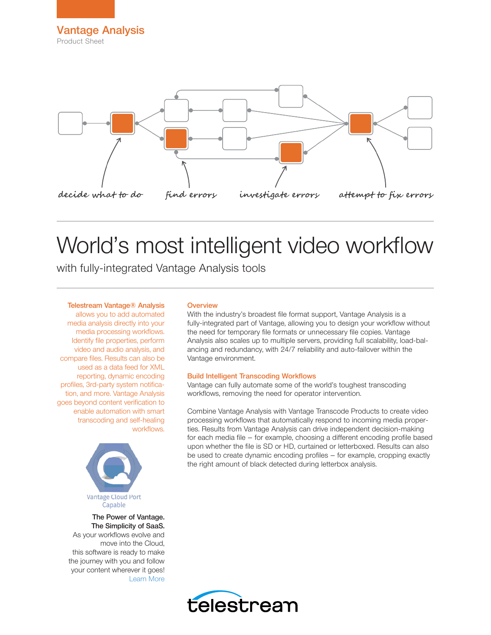

# World's most intelligent video workflow

with fully-integrated Vantage Analysis tools

### Telestream Vantage® Analysis

allows you to add automated media analysis directly into your media processing workflows. Identify file properties, perform video and audio analysis, and compare files. Results can also be used as a data feed for XML reporting, dynamic encoding profiles, 3rd-party system notification, and more. Vantage Analysis goes beyond content verification to enable automation with smart transcoding and self-healing workflows.



The Power of Vantage. The Simplicity of SaaS. As your workflows evolve and move into the Cloud, this software is ready to make the journey with you and follow your content wherever it goes! [Learn More](http://www.telestream.net/vantage/vantage-cloud-port.htm)

#### **Overview**

With the industry's broadest file format support, Vantage Analysis is a fully-integrated part of Vantage, allowing you to design your workflow without the need for temporary file formats or unnecessary file copies. Vantage Analysis also scales up to multiple servers, providing full scalability, load-balancing and redundancy, with 24/7 reliability and auto-failover within the Vantage environment.

#### Build Intelligent Transcoding Workflows

Vantage can fully automate some of the world's toughest transcoding workflows, removing the need for operator intervention.

Combine Vantage Analysis with Vantage Transcode Products to create video processing workflows that automatically respond to incoming media properties. Results from Vantage Analysis can drive independent decision-making for each media file – for example, choosing a different encoding profile based upon whether the file is SD or HD, curtained or letterboxed. Results can also be used to create dynamic encoding profiles – for example, cropping exactly the right amount of black detected during letterbox analysis.

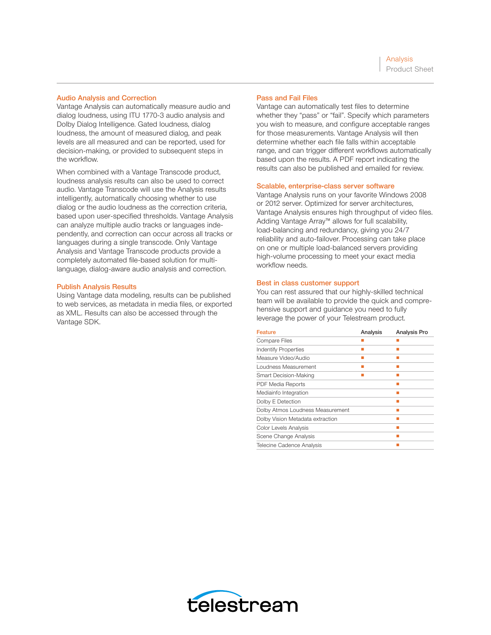#### Audio Analysis and Correction

Vantage Analysis can automatically measure audio and dialog loudness, using ITU 1770-3 audio analysis and Dolby Dialog Intelligence. Gated loudness, dialog loudness, the amount of measured dialog, and peak levels are all measured and can be reported, used for decision-making, or provided to subsequent steps in the workflow.

When combined with a Vantage Transcode product, loudness analysis results can also be used to correct audio. Vantage Transcode will use the Analysis results intelligently, automatically choosing whether to use dialog or the audio loudness as the correction criteria, based upon user-specified thresholds. Vantage Analysis can analyze multiple audio tracks or languages independently, and correction can occur across all tracks or languages during a single transcode. Only Vantage Analysis and Vantage Transcode products provide a completely automated file-based solution for multilanguage, dialog-aware audio analysis and correction.

#### Publish Analysis Results

Using Vantage data modeling, results can be published to web services, as metadata in media files, or exported as XML. Results can also be accessed through the Vantage SDK.

#### Pass and Fail Files

Vantage can automatically test files to determine whether they "pass" or "fail". Specify which parameters you wish to measure, and configure acceptable ranges for those measurements. Vantage Analysis will then determine whether each file falls within acceptable range, and can trigger different workflows automatically based upon the results. A PDF report indicating the results can also be published and emailed for review.

#### Scalable, enterprise-class server software

Vantage Analysis runs on your favorite Windows 2008 or 2012 server. Optimized for server architectures, Vantage Analysis ensures high throughput of video files. Adding Vantage Array™ allows for full scalability, load-balancing and redundancy, giving you 24/7 reliability and auto-failover. Processing can take place on one or multiple load-balanced servers providing high-volume processing to meet your exact media workflow needs.

#### Best in class customer support

You can rest assured that our highly-skilled technical team will be available to provide the quick and comprehensive support and guidance you need to fully leverage the power of your Telestream product.

| <b>Feature</b>                   | Analysis | <b>Analysis Pro</b> |
|----------------------------------|----------|---------------------|
| <b>Compare Files</b>             |          |                     |
| <b>Indentify Properties</b>      |          |                     |
| Measure Video/Audio              |          |                     |
| Loudness Measurement             |          |                     |
| Smart Decision-Making            |          |                     |
| <b>PDF Media Reports</b>         |          |                     |
| Mediainfo Integration            |          |                     |
| Dolby E Detection                |          |                     |
| Dolby Atmos Loudness Measurement |          |                     |
| Dolby Vision Metadata extraction |          |                     |
| Color Levels Analysis            |          |                     |
| Scene Change Analysis            |          |                     |
| Telecine Cadence Analysis        |          |                     |